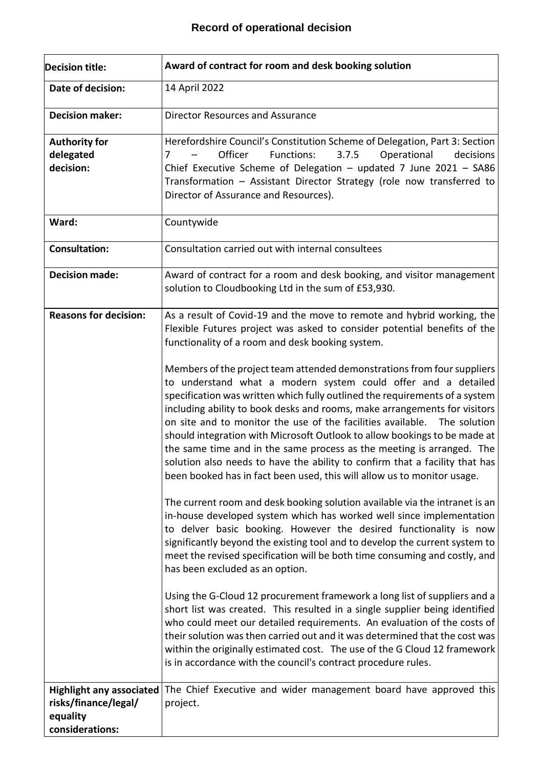## **Record of operational decision**

| <b>Decision title:</b>                                          | Award of contract for room and desk booking solution                                                                                                                                                                                                                                                                                                                                                                                                                                                                                                                                                                                                                                                                                                                                                                                                                                                                                                                                                                                                                                                                                                                                                                                                                                                                                                                                                                                                                                                                                                                                                                                                                                                                                                                                                                                                                            |
|-----------------------------------------------------------------|---------------------------------------------------------------------------------------------------------------------------------------------------------------------------------------------------------------------------------------------------------------------------------------------------------------------------------------------------------------------------------------------------------------------------------------------------------------------------------------------------------------------------------------------------------------------------------------------------------------------------------------------------------------------------------------------------------------------------------------------------------------------------------------------------------------------------------------------------------------------------------------------------------------------------------------------------------------------------------------------------------------------------------------------------------------------------------------------------------------------------------------------------------------------------------------------------------------------------------------------------------------------------------------------------------------------------------------------------------------------------------------------------------------------------------------------------------------------------------------------------------------------------------------------------------------------------------------------------------------------------------------------------------------------------------------------------------------------------------------------------------------------------------------------------------------------------------------------------------------------------------|
| Date of decision:                                               | 14 April 2022                                                                                                                                                                                                                                                                                                                                                                                                                                                                                                                                                                                                                                                                                                                                                                                                                                                                                                                                                                                                                                                                                                                                                                                                                                                                                                                                                                                                                                                                                                                                                                                                                                                                                                                                                                                                                                                                   |
| <b>Decision maker:</b>                                          | <b>Director Resources and Assurance</b>                                                                                                                                                                                                                                                                                                                                                                                                                                                                                                                                                                                                                                                                                                                                                                                                                                                                                                                                                                                                                                                                                                                                                                                                                                                                                                                                                                                                                                                                                                                                                                                                                                                                                                                                                                                                                                         |
| <b>Authority for</b><br>delegated<br>decision:                  | Herefordshire Council's Constitution Scheme of Delegation, Part 3: Section<br>Functions:<br>3.7.5<br>Officer<br>Operational<br>decisions<br>7<br>Chief Executive Scheme of Delegation - updated 7 June 2021 - SA86<br>Transformation - Assistant Director Strategy (role now transferred to<br>Director of Assurance and Resources).                                                                                                                                                                                                                                                                                                                                                                                                                                                                                                                                                                                                                                                                                                                                                                                                                                                                                                                                                                                                                                                                                                                                                                                                                                                                                                                                                                                                                                                                                                                                            |
| Ward:                                                           | Countywide                                                                                                                                                                                                                                                                                                                                                                                                                                                                                                                                                                                                                                                                                                                                                                                                                                                                                                                                                                                                                                                                                                                                                                                                                                                                                                                                                                                                                                                                                                                                                                                                                                                                                                                                                                                                                                                                      |
| <b>Consultation:</b>                                            | Consultation carried out with internal consultees                                                                                                                                                                                                                                                                                                                                                                                                                                                                                                                                                                                                                                                                                                                                                                                                                                                                                                                                                                                                                                                                                                                                                                                                                                                                                                                                                                                                                                                                                                                                                                                                                                                                                                                                                                                                                               |
| <b>Decision made:</b>                                           | Award of contract for a room and desk booking, and visitor management<br>solution to Cloudbooking Ltd in the sum of £53,930.                                                                                                                                                                                                                                                                                                                                                                                                                                                                                                                                                                                                                                                                                                                                                                                                                                                                                                                                                                                                                                                                                                                                                                                                                                                                                                                                                                                                                                                                                                                                                                                                                                                                                                                                                    |
| <b>Reasons for decision:</b><br><b>Highlight any associated</b> | As a result of Covid-19 and the move to remote and hybrid working, the<br>Flexible Futures project was asked to consider potential benefits of the<br>functionality of a room and desk booking system.<br>Members of the project team attended demonstrations from four suppliers<br>to understand what a modern system could offer and a detailed<br>specification was written which fully outlined the requirements of a system<br>including ability to book desks and rooms, make arrangements for visitors<br>on site and to monitor the use of the facilities available. The solution<br>should integration with Microsoft Outlook to allow bookings to be made at<br>the same time and in the same process as the meeting is arranged. The<br>solution also needs to have the ability to confirm that a facility that has<br>been booked has in fact been used, this will allow us to monitor usage.<br>The current room and desk booking solution available via the intranet is an<br>in-house developed system which has worked well since implementation<br>to delver basic booking. However the desired functionality is now<br>significantly beyond the existing tool and to develop the current system to<br>meet the revised specification will be both time consuming and costly, and<br>has been excluded as an option.<br>Using the G-Cloud 12 procurement framework a long list of suppliers and a<br>short list was created. This resulted in a single supplier being identified<br>who could meet our detailed requirements. An evaluation of the costs of<br>their solution was then carried out and it was determined that the cost was<br>within the originally estimated cost. The use of the G Cloud 12 framework<br>is in accordance with the council's contract procedure rules.<br>The Chief Executive and wider management board have approved this |
| risks/finance/legal/<br>equality<br>considerations:             | project.                                                                                                                                                                                                                                                                                                                                                                                                                                                                                                                                                                                                                                                                                                                                                                                                                                                                                                                                                                                                                                                                                                                                                                                                                                                                                                                                                                                                                                                                                                                                                                                                                                                                                                                                                                                                                                                                        |